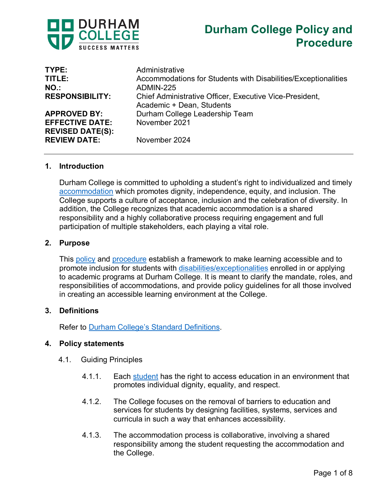



| TYPE:                   | Administrative                                                 |
|-------------------------|----------------------------------------------------------------|
| TITLE:                  | Accommodations for Students with Disabilities/Exceptionalities |
| $NO.$ :                 | ADMIN-225                                                      |
| <b>RESPONSIBILITY:</b>  | Chief Administrative Officer, Executive Vice-President,        |
|                         | Academic + Dean, Students                                      |
| <b>APPROVED BY:</b>     | Durham College Leadership Team                                 |
| <b>EFFECTIVE DATE:</b>  | November 2021                                                  |
| <b>REVISED DATE(S):</b> |                                                                |
| <b>REVIEW DATE:</b>     | November 2024                                                  |
|                         |                                                                |

#### **1. Introduction**

Durham College is committed to upholding a student's right to individualized and timely [accommodation](https://durhamcollege.ca/wp-content/uploads/Durham-College-Standard-Definitions.pdf) which promotes dignity, independence, equity, and inclusion. The College supports a culture of acceptance, inclusion and the celebration of diversity. In addition, the College recognizes that academic accommodation is a shared responsibility and a highly collaborative process requiring engagement and full participation of multiple stakeholders, each playing a vital role.

#### **2. Purpose**

This [policy](https://durhamcollege.ca/wp-content/uploads/Durham-College-Standard-Definitions.pdf) and [procedure](https://durhamcollege.ca/wp-content/uploads/Durham-College-Standard-Definitions.pdf) establish a framework to make learning accessible and to promote inclusion for students with [disabilities/exceptionalities](https://durhamcollege.ca/wp-content/uploads/Durham-College-Standard-Definitions.pdf) enrolled in or applying to academic programs at Durham College. It is meant to clarify the mandate, roles, and responsibilities of accommodations, and provide policy guidelines for all those involved in creating an accessible learning environment at the College.

#### **3. Definitions**

Refer to [Durham College's Standard Definitions.](https://durhamcollege.ca/wp-content/uploads/Durham-College-Standard-Definitions.pdf)

#### **4. Policy statements**

- 4.1. Guiding Principles
	- 4.1.1. Each [student](https://durhamcollege.ca/wp-content/uploads/Durham-College-Standard-Definitions.pdf) has the right to access education in an environment that promotes individual dignity, equality, and respect.
	- 4.1.2. The College focuses on the removal of barriers to education and services for students by designing facilities, systems, services and curricula in such a way that enhances accessibility.
	- 4.1.3. The accommodation process is collaborative, involving a shared responsibility among the student requesting the accommodation and the College.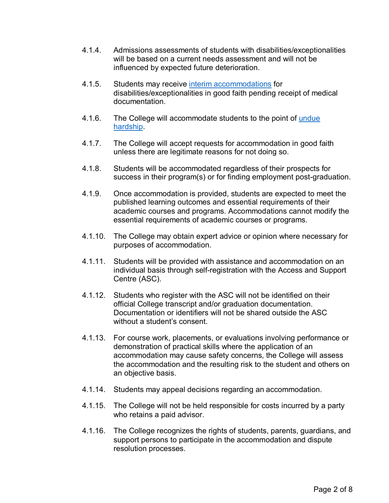- 4.1.4. Admissions assessments of students with disabilities/exceptionalities will be based on a current needs assessment and will not be influenced by expected future deterioration.
- 4.1.5. Students may receive interim [accommodations](https://durhamcollege.ca/wp-content/uploads/Durham-College-Standard-Definitions.pdf) for disabilities/exceptionalities in good faith pending receipt of medical documentation.
- 4.1.6. The College will accommodate students to the point of [undue](https://durhamcollege.ca/wp-content/uploads/Durham-College-Standard-Definitions.pdf)  [hardship.](https://durhamcollege.ca/wp-content/uploads/Durham-College-Standard-Definitions.pdf)
- 4.1.7. The College will accept requests for accommodation in good faith unless there are legitimate reasons for not doing so.
- 4.1.8. Students will be accommodated regardless of their prospects for success in their program(s) or for finding employment post-graduation.
- 4.1.9. Once accommodation is provided, students are expected to meet the published learning outcomes and essential requirements of their academic courses and programs. Accommodations cannot modify the essential requirements of academic courses or programs.
- 4.1.10. The College may obtain expert advice or opinion where necessary for purposes of accommodation.
- 4.1.11. Students will be provided with assistance and accommodation on an individual basis through self-registration with the Access and Support Centre (ASC).
- 4.1.12. Students who register with the ASC will not be identified on their official College transcript and/or graduation documentation. Documentation or identifiers will not be shared outside the ASC without a student's consent.
- 4.1.13. For course work, placements, or evaluations involving performance or demonstration of practical skills where the application of an accommodation may cause safety concerns, the College will assess the accommodation and the resulting risk to the student and others on an objective basis.
- 4.1.14. Students may appeal decisions regarding an accommodation.
- 4.1.15. The College will not be held responsible for costs incurred by a party who retains a paid advisor.
- 4.1.16. The College recognizes the rights of students, parents, guardians, and support persons to participate in the accommodation and dispute resolution processes.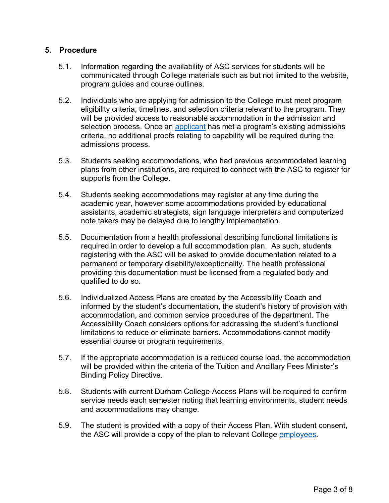### **5. Procedure**

- 5.1. Information regarding the availability of ASC services for students will be communicated through College materials such as but not limited to the website, program guides and course outlines.
- 5.2. Individuals who are applying for admission to the College must meet program eligibility criteria, timelines, and selection criteria relevant to the program. They will be provided access to reasonable accommodation in the admission and selection process. Once an [applicant](https://durhamcollege.ca/wp-content/uploads/Durham-College-Standard-Definitions.pdf) has met a program's existing admissions criteria, no additional proofs relating to capability will be required during the admissions process.
- 5.3. Students seeking accommodations, who had previous accommodated learning plans from other institutions, are required to connect with the ASC to register for supports from the College.
- 5.4. Students seeking accommodations may register at any time during the academic year, however some accommodations provided by educational assistants, academic strategists, sign language interpreters and computerized note takers may be delayed due to lengthy implementation.
- 5.5. Documentation from a health professional describing functional limitations is required in order to develop a full accommodation plan. As such, students registering with the ASC will be asked to provide documentation related to a permanent or temporary disability/exceptionality. The health professional providing this documentation must be licensed from a regulated body and qualified to do so.
- 5.6. Individualized Access Plans are created by the Accessibility Coach and informed by the student's documentation, the student's history of provision with accommodation, and common service procedures of the department. The Accessibility Coach considers options for addressing the student's functional limitations to reduce or eliminate barriers. Accommodations cannot modify essential course or program requirements.
- 5.7. If the appropriate accommodation is a reduced course load, the accommodation will be provided within the criteria of the Tuition and Ancillary Fees Minister's Binding Policy Directive.
- 5.8. Students with current Durham College Access Plans will be required to confirm service needs each semester noting that learning environments, student needs and accommodations may change.
- 5.9. The student is provided with a copy of their Access Plan. With student consent, the ASC will provide a copy of the plan to relevant College [employees.](https://durhamcollege.ca/wp-content/uploads/Durham-College-Standard-Definitions.pdf)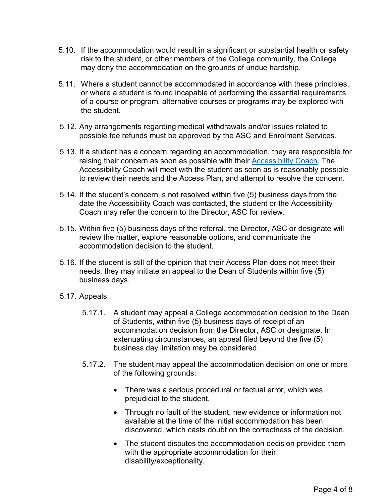- 5.10. If the accommodation would result in a significant or substantial health or safety risk to the student, or other members of the College community, the College may deny the accommodation on the grounds of undue hardship.
- 5.11. Where a student cannot be accommodated in accordance with these principles, or where a student is found incapable of performing the essential requirements of a course or program, alternative courses or programs may be explored with the student.
- 5.12. Any arrangements regarding medical withdrawals and/or issues related to possible fee refunds must be approved by the ASC and Enrolment Services.
- 5.13. If a student has a concern regarding an accommodation, they are responsible for raising their concern as soon as possible with their [Accessibility Coach.](https://durhamcollege.ca/wp-content/uploads/Durham-College-Standard-Definitions.pdf) The Accessibility Coach will meet with the student as soon as is reasonably possible to review their needs and the Access Plan, and attempt to resolve the concern.
- 5.14. If the student's concern is not resolved within five (5) business days from the date the Accessibility Coach was contacted, the student or the Accessibility Coach may refer the concern to the Director, ASC for review.
- 5.15. Within five (5) business days of the referral, the Director, ASC or designate will review the matter, explore reasonable options, and communicate the accommodation decision to the student.
- 5.16. If the student is still of the opinion that their Access Plan does not meet their needs, they may initiate an appeal to the Dean of Students within five (5) business days.
- 5.17. Appeals
	- 5.17.1. A student may appeal a College accommodation decision to the Dean of Students, within five (5) business days of receipt of an accommodation decision from the Director, ASC or designate. In extenuating circumstances, an appeal filed beyond the five (5) business day limitation may be considered.
	- 5.17.2. The student may appeal the accommodation decision on one or more of the following grounds:
		- There was a serious procedural or factual error, which was prejudicial to the student.
		- Through no fault of the student, new evidence or information not available at the time of the initial accommodation has been discovered, which casts doubt on the correctness of the decision.
		- The student disputes the accommodation decision provided them with the appropriate accommodation for their disability/exceptionality.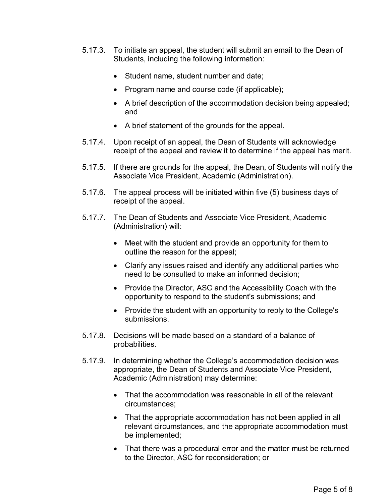- 5.17.3. To initiate an appeal, the student will submit an email to the Dean of Students, including the following information:
	- Student name, student number and date;
	- Program name and course code (if applicable);
	- A brief description of the accommodation decision being appealed; and
	- A brief statement of the grounds for the appeal.
- 5.17.4. Upon receipt of an appeal, the Dean of Students will acknowledge receipt of the appeal and review it to determine if the appeal has merit.
- 5.17.5. If there are grounds for the appeal, the Dean, of Students will notify the Associate Vice President, Academic (Administration).
- 5.17.6. The appeal process will be initiated within five (5) business days of receipt of the appeal.
- 5.17.7. The Dean of Students and Associate Vice President, Academic (Administration) will:
	- Meet with the student and provide an opportunity for them to outline the reason for the appeal;
	- Clarify any issues raised and identify any additional parties who need to be consulted to make an informed decision;
	- Provide the Director, ASC and the Accessibility Coach with the opportunity to respond to the student's submissions; and
	- Provide the student with an opportunity to reply to the College's submissions.
- 5.17.8. Decisions will be made based on a standard of a balance of probabilities.
- 5.17.9. In determining whether the College's accommodation decision was appropriate, the Dean of Students and Associate Vice President, Academic (Administration) may determine:
	- That the accommodation was reasonable in all of the relevant circumstances;
	- That the appropriate accommodation has not been applied in all relevant circumstances, and the appropriate accommodation must be implemented;
	- That there was a procedural error and the matter must be returned to the Director, ASC for reconsideration; or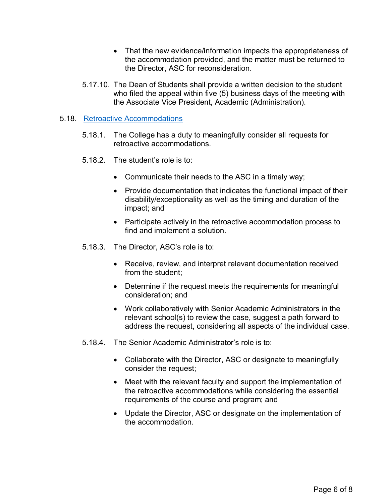- That the new evidence/information impacts the appropriateness of the accommodation provided, and the matter must be returned to the Director, ASC for reconsideration.
- 5.17.10. The Dean of Students shall provide a written decision to the student who filed the appeal within five (5) business days of the meeting with the Associate Vice President, Academic (Administration).

### 5.18. [Retroactive Accommodations](https://durhamcollege.ca/wp-content/uploads/Durham-College-Standard-Definitions.pdf)

- 5.18.1. The College has a duty to meaningfully consider all requests for retroactive accommodations.
- 5.18.2. The student's role is to:
	- Communicate their needs to the ASC in a timely way;
	- Provide documentation that indicates the functional impact of their disability/exceptionality as well as the timing and duration of the impact; and
	- Participate actively in the retroactive accommodation process to find and implement a solution.
- 5.18.3. The Director, ASC's role is to:
	- Receive, review, and interpret relevant documentation received from the student;
	- Determine if the request meets the requirements for meaningful consideration; and
	- Work collaboratively with Senior Academic Administrators in the relevant school(s) to review the case, suggest a path forward to address the request, considering all aspects of the individual case.
- 5.18.4. The Senior Academic Administrator's role is to:
	- Collaborate with the Director, ASC or designate to meaningfully consider the request;
	- Meet with the relevant faculty and support the implementation of the retroactive accommodations while considering the essential requirements of the course and program; and
	- Update the Director, ASC or designate on the implementation of the accommodation.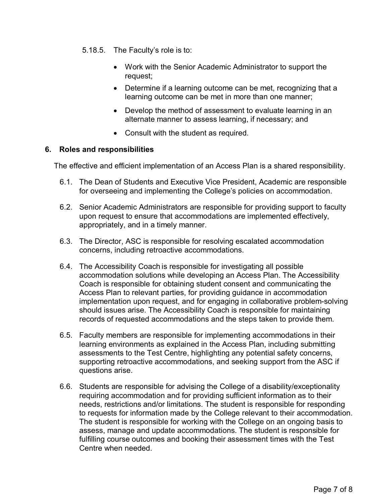- 5.18.5. The Faculty's role is to:
	- Work with the Senior Academic Administrator to support the request;
	- Determine if a learning outcome can be met, recognizing that a learning outcome can be met in more than one manner;
	- Develop the method of assessment to evaluate learning in an alternate manner to assess learning, if necessary; and
	- Consult with the student as required.

#### **6. Roles and responsibilities**

The effective and efficient implementation of an Access Plan is a shared responsibility.

- 6.1. The Dean of Students and Executive Vice President, Academic are responsible for overseeing and implementing the College's policies on accommodation.
- 6.2. Senior Academic Administrators are responsible for providing support to faculty upon request to ensure that accommodations are implemented effectively, appropriately, and in a timely manner.
- 6.3. The Director, ASC is responsible for resolving escalated accommodation concerns, including retroactive accommodations.
- 6.4. The Accessibility Coach is responsible for investigating all possible accommodation solutions while developing an Access Plan. The Accessibility Coach is responsible for obtaining student consent and communicating the Access Plan to relevant parties, for providing guidance in accommodation implementation upon request, and for engaging in collaborative problem-solving should issues arise. The Accessibility Coach is responsible for maintaining records of requested accommodations and the steps taken to provide them.
- 6.5. Faculty members are responsible for implementing accommodations in their learning environments as explained in the Access Plan, including submitting assessments to the Test Centre, highlighting any potential safety concerns, supporting retroactive accommodations, and seeking support from the ASC if questions arise.
- 6.6. Students are responsible for advising the College of a disability/exceptionality requiring accommodation and for providing sufficient information as to their needs, restrictions and/or limitations. The student is responsible for responding to requests for information made by the College relevant to their accommodation. The student is responsible for working with the College on an ongoing basis to assess, manage and update accommodations. The student is responsible for fulfilling course outcomes and booking their assessment times with the Test Centre when needed.